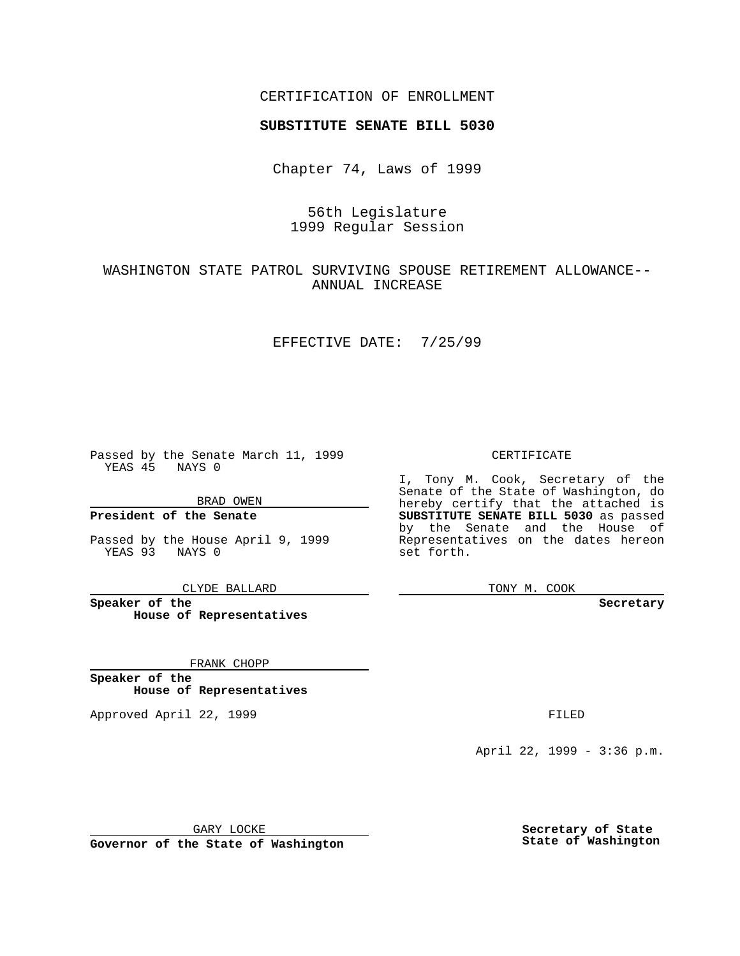### CERTIFICATION OF ENROLLMENT

# **SUBSTITUTE SENATE BILL 5030**

Chapter 74, Laws of 1999

## 56th Legislature 1999 Regular Session

## WASHINGTON STATE PATROL SURVIVING SPOUSE RETIREMENT ALLOWANCE-- ANNUAL INCREASE

#### EFFECTIVE DATE: 7/25/99

Passed by the Senate March 11, 1999 YEAS 45 NAYS 0

BRAD OWEN

**President of the Senate**

Passed by the House April 9, 1999 YEAS 93 NAYS 0

CLYDE BALLARD

**Speaker of the House of Representatives**

FRANK CHOPP

**Speaker of the House of Representatives**

Approved April 22, 1999 **FILED** 

### CERTIFICATE

I, Tony M. Cook, Secretary of the Senate of the State of Washington, do hereby certify that the attached is **SUBSTITUTE SENATE BILL 5030** as passed by the Senate and the House of Representatives on the dates hereon set forth.

TONY M. COOK

**Secretary**

April 22, 1999 - 3:36 p.m.

GARY LOCKE

**Governor of the State of Washington**

**Secretary of State State of Washington**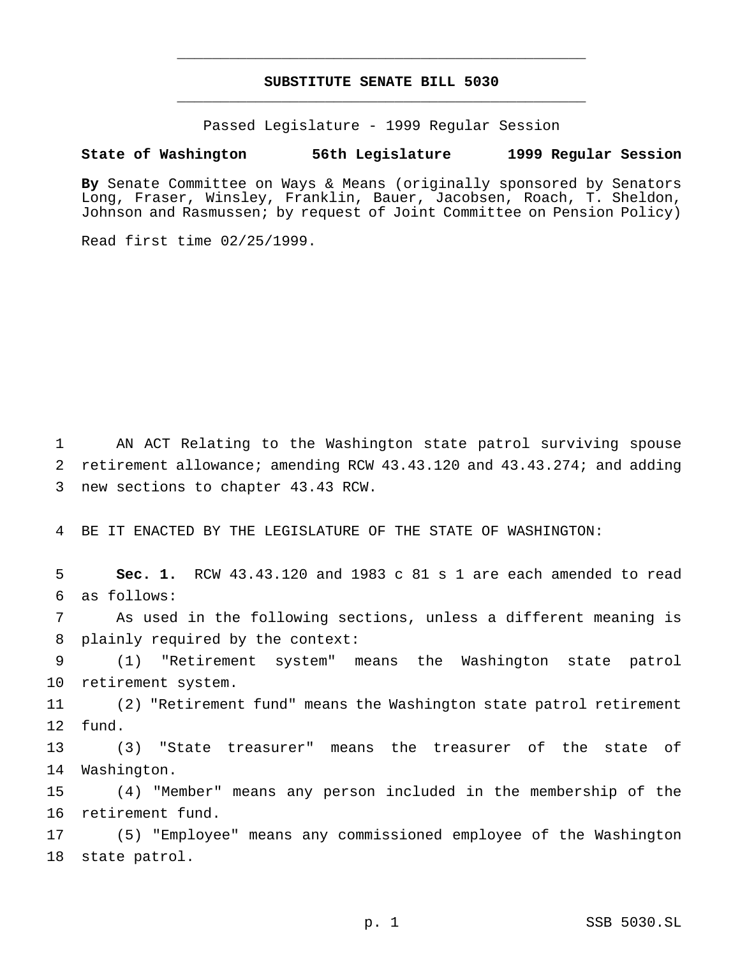# **SUBSTITUTE SENATE BILL 5030** \_\_\_\_\_\_\_\_\_\_\_\_\_\_\_\_\_\_\_\_\_\_\_\_\_\_\_\_\_\_\_\_\_\_\_\_\_\_\_\_\_\_\_\_\_\_\_

\_\_\_\_\_\_\_\_\_\_\_\_\_\_\_\_\_\_\_\_\_\_\_\_\_\_\_\_\_\_\_\_\_\_\_\_\_\_\_\_\_\_\_\_\_\_\_

Passed Legislature - 1999 Regular Session

### **State of Washington 56th Legislature 1999 Regular Session**

**By** Senate Committee on Ways & Means (originally sponsored by Senators Long, Fraser, Winsley, Franklin, Bauer, Jacobsen, Roach, T. Sheldon, Johnson and Rasmussen; by request of Joint Committee on Pension Policy)

Read first time 02/25/1999.

 AN ACT Relating to the Washington state patrol surviving spouse retirement allowance; amending RCW 43.43.120 and 43.43.274; and adding new sections to chapter 43.43 RCW.

BE IT ENACTED BY THE LEGISLATURE OF THE STATE OF WASHINGTON:

 **Sec. 1.** RCW 43.43.120 and 1983 c 81 s 1 are each amended to read as follows:

 As used in the following sections, unless a different meaning is plainly required by the context:

 (1) "Retirement system" means the Washington state patrol retirement system.

 (2) "Retirement fund" means the Washington state patrol retirement fund.

 (3) "State treasurer" means the treasurer of the state of Washington.

 (4) "Member" means any person included in the membership of the retirement fund.

 (5) "Employee" means any commissioned employee of the Washington state patrol.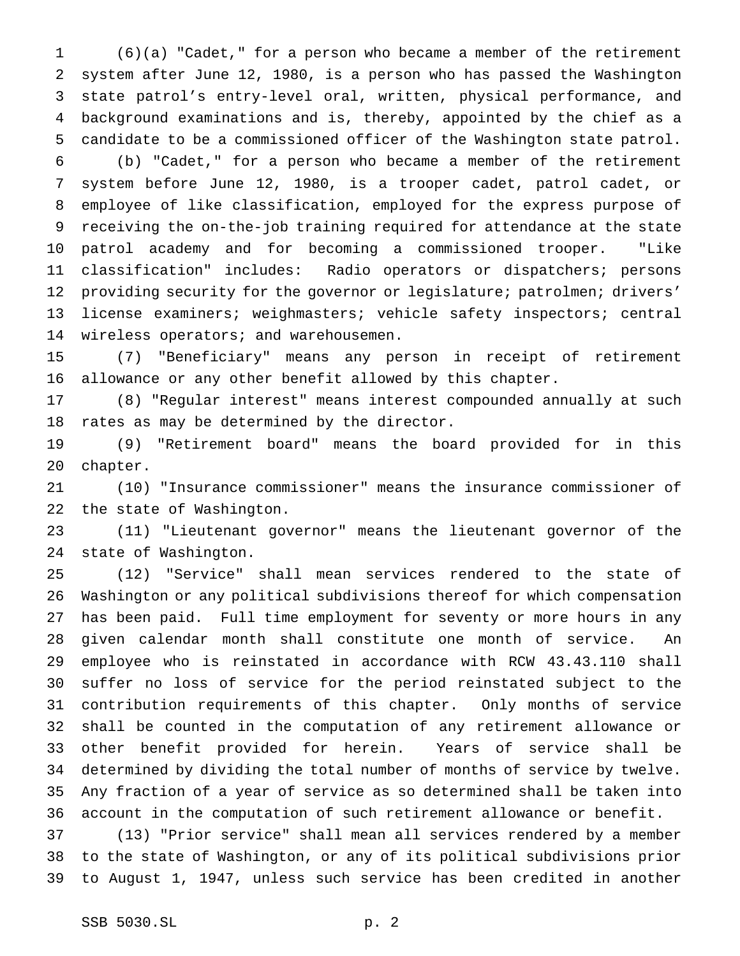(6)(a) "Cadet," for a person who became a member of the retirement system after June 12, 1980, is a person who has passed the Washington state patrol's entry-level oral, written, physical performance, and background examinations and is, thereby, appointed by the chief as a candidate to be a commissioned officer of the Washington state patrol.

 (b) "Cadet," for a person who became a member of the retirement system before June 12, 1980, is a trooper cadet, patrol cadet, or employee of like classification, employed for the express purpose of receiving the on-the-job training required for attendance at the state patrol academy and for becoming a commissioned trooper. "Like classification" includes: Radio operators or dispatchers; persons providing security for the governor or legislature; patrolmen; drivers' license examiners; weighmasters; vehicle safety inspectors; central wireless operators; and warehousemen.

 (7) "Beneficiary" means any person in receipt of retirement allowance or any other benefit allowed by this chapter.

 (8) "Regular interest" means interest compounded annually at such rates as may be determined by the director.

 (9) "Retirement board" means the board provided for in this chapter.

 (10) "Insurance commissioner" means the insurance commissioner of the state of Washington.

 (11) "Lieutenant governor" means the lieutenant governor of the state of Washington.

 (12) "Service" shall mean services rendered to the state of Washington or any political subdivisions thereof for which compensation has been paid. Full time employment for seventy or more hours in any given calendar month shall constitute one month of service. An employee who is reinstated in accordance with RCW 43.43.110 shall suffer no loss of service for the period reinstated subject to the contribution requirements of this chapter. Only months of service shall be counted in the computation of any retirement allowance or other benefit provided for herein. Years of service shall be determined by dividing the total number of months of service by twelve. Any fraction of a year of service as so determined shall be taken into account in the computation of such retirement allowance or benefit.

 (13) "Prior service" shall mean all services rendered by a member to the state of Washington, or any of its political subdivisions prior to August 1, 1947, unless such service has been credited in another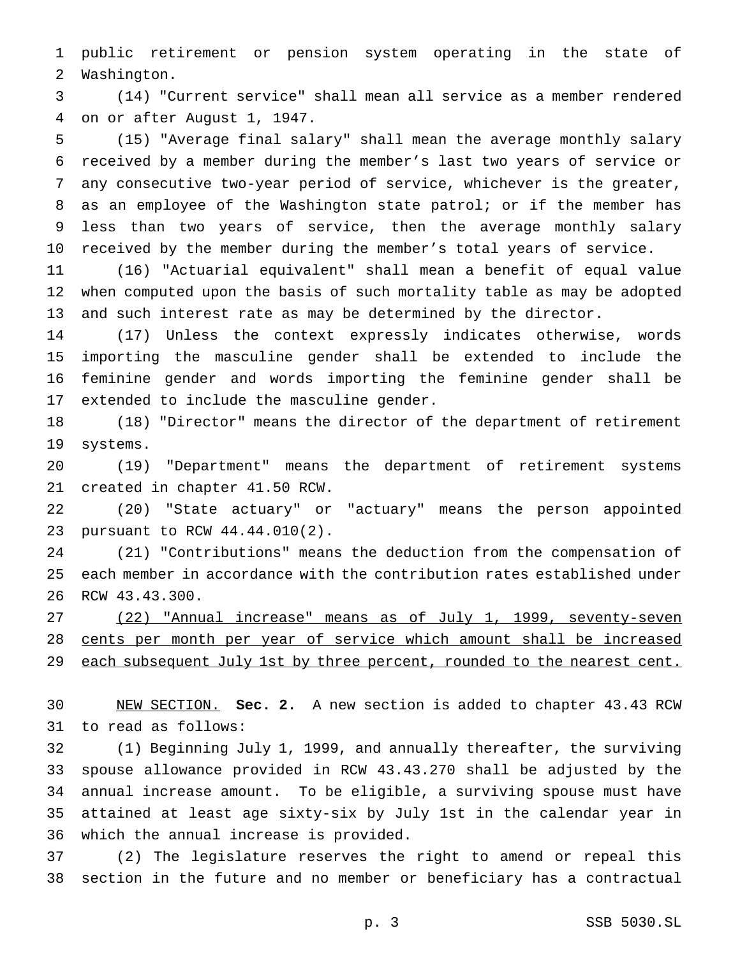public retirement or pension system operating in the state of Washington.

 (14) "Current service" shall mean all service as a member rendered on or after August 1, 1947.

 (15) "Average final salary" shall mean the average monthly salary received by a member during the member's last two years of service or any consecutive two-year period of service, whichever is the greater, as an employee of the Washington state patrol; or if the member has less than two years of service, then the average monthly salary received by the member during the member's total years of service.

 (16) "Actuarial equivalent" shall mean a benefit of equal value when computed upon the basis of such mortality table as may be adopted and such interest rate as may be determined by the director.

 (17) Unless the context expressly indicates otherwise, words importing the masculine gender shall be extended to include the feminine gender and words importing the feminine gender shall be extended to include the masculine gender.

 (18) "Director" means the director of the department of retirement systems.

 (19) "Department" means the department of retirement systems created in chapter 41.50 RCW.

 (20) "State actuary" or "actuary" means the person appointed pursuant to RCW 44.44.010(2).

 (21) "Contributions" means the deduction from the compensation of each member in accordance with the contribution rates established under RCW 43.43.300.

 (22) "Annual increase" means as of July 1, 1999, seventy-seven cents per month per year of service which amount shall be increased 29 each subsequent July 1st by three percent, rounded to the nearest cent.

 NEW SECTION. **Sec. 2.** A new section is added to chapter 43.43 RCW to read as follows:

 (1) Beginning July 1, 1999, and annually thereafter, the surviving spouse allowance provided in RCW 43.43.270 shall be adjusted by the annual increase amount. To be eligible, a surviving spouse must have attained at least age sixty-six by July 1st in the calendar year in which the annual increase is provided.

 (2) The legislature reserves the right to amend or repeal this section in the future and no member or beneficiary has a contractual

p. 3 SSB 5030.SL